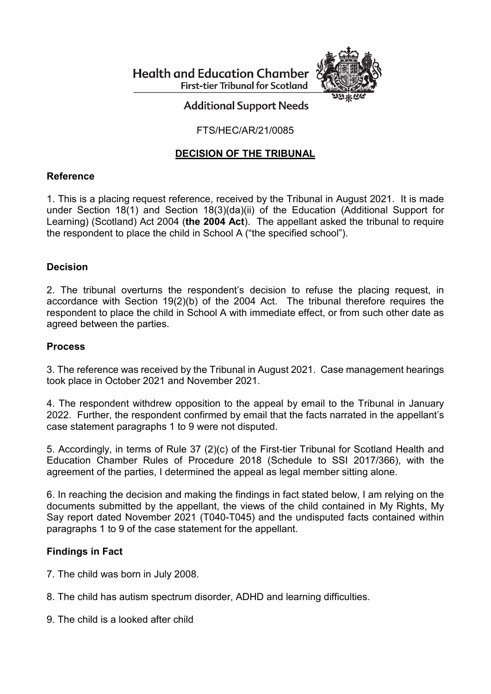**Health and Education Chamber First-tier Tribunal for Scotland** 



# **Additional Support Needs**

## FTS/HEC/AR/21/0085

## **DECISION OF THE TRIBUNAL**

## **Reference**

1. This is a placing request reference, received by the Tribunal in August 2021. It is made under Section 18(1) and Section 18(3)(da)(ii) of the Education (Additional Support for Learning) (Scotland) Act 2004 (**the 2004 Act**). The appellant asked the tribunal to require the respondent to place the child in School A ("the specified school").

#### **Decision**

2. The tribunal overturns the respondent's decision to refuse the placing request, in accordance with Section 19(2)(b) of the 2004 Act. The tribunal therefore requires the respondent to place the child in School A with immediate effect, or from such other date as agreed between the parties.

#### **Process**

3. The reference was received by the Tribunal in August 2021. Case management hearings took place in October 2021 and November 2021.

4. The respondent withdrew opposition to the appeal by email to the Tribunal in January 2022. Further, the respondent confirmed by email that the facts narrated in the appellant's case statement paragraphs 1 to 9 were not disputed.

5. Accordingly, in terms of Rule 37 (2)(c) of the First-tier Tribunal for Scotland Health and Education Chamber Rules of Procedure 2018 (Schedule to SSI 2017/366), with the agreement of the parties, I determined the appeal as legal member sitting alone.

6. In reaching the decision and making the findings in fact stated below, I am relying on the documents submitted by the appellant, the views of the child contained in My Rights, My Say report dated November 2021 (T040-T045) and the undisputed facts contained within paragraphs 1 to 9 of the case statement for the appellant.

## **Findings in Fact**

- 7. The child was born in July 2008.
- 8. The child has autism spectrum disorder, ADHD and learning difficulties.
- 9. The child is a looked after child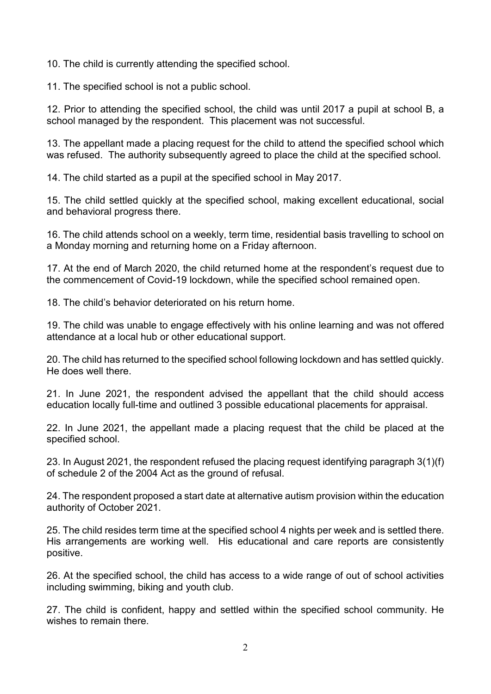10. The child is currently attending the specified school.

11. The specified school is not a public school.

12. Prior to attending the specified school, the child was until 2017 a pupil at school B, a school managed by the respondent. This placement was not successful.

13. The appellant made a placing request for the child to attend the specified school which was refused. The authority subsequently agreed to place the child at the specified school.

14. The child started as a pupil at the specified school in May 2017.

15. The child settled quickly at the specified school, making excellent educational, social and behavioral progress there.

16. The child attends school on a weekly, term time, residential basis travelling to school on a Monday morning and returning home on a Friday afternoon.

17. At the end of March 2020, the child returned home at the respondent's request due to the commencement of Covid-19 lockdown, while the specified school remained open.

18. The child's behavior deteriorated on his return home.

19. The child was unable to engage effectively with his online learning and was not offered attendance at a local hub or other educational support.

20. The child has returned to the specified school following lockdown and has settled quickly. He does well there.

21. In June 2021, the respondent advised the appellant that the child should access education locally full-time and outlined 3 possible educational placements for appraisal.

22. In June 2021, the appellant made a placing request that the child be placed at the specified school.

23. In August 2021, the respondent refused the placing request identifying paragraph 3(1)(f) of schedule 2 of the 2004 Act as the ground of refusal.

24. The respondent proposed a start date at alternative autism provision within the education authority of October 2021.

25. The child resides term time at the specified school 4 nights per week and is settled there. His arrangements are working well. His educational and care reports are consistently positive.

26. At the specified school, the child has access to a wide range of out of school activities including swimming, biking and youth club.

27. The child is confident, happy and settled within the specified school community. He wishes to remain there.